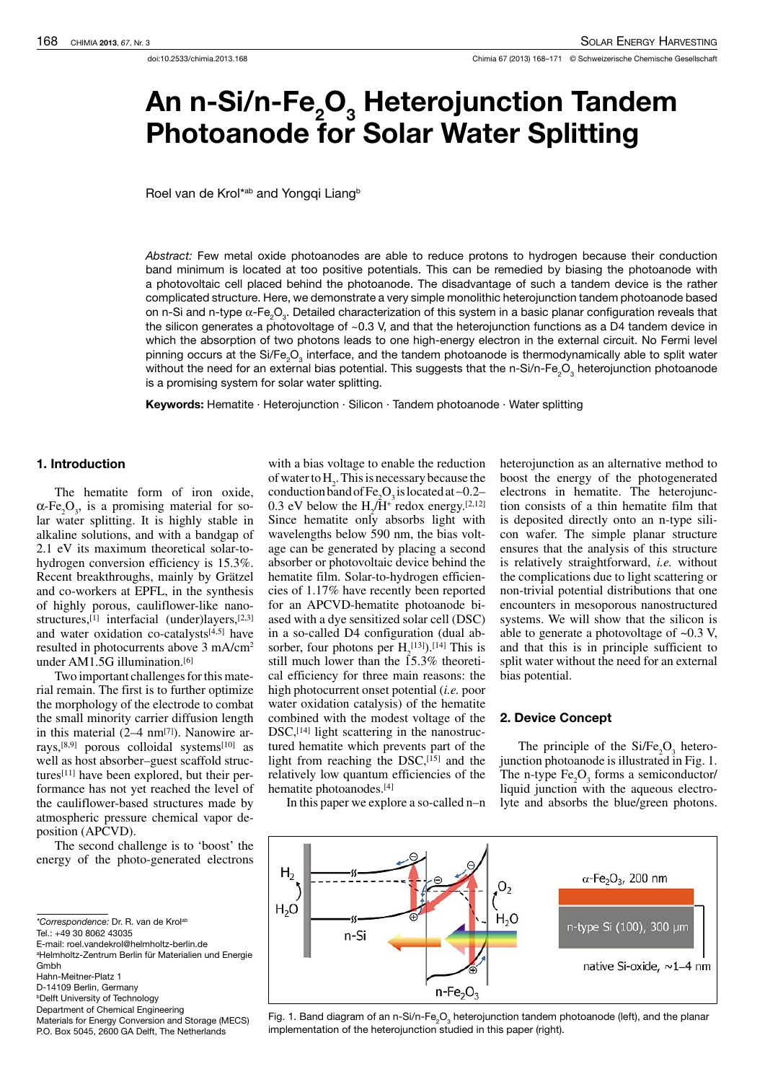# An n-Si/n-Fe<sub>2</sub>O<sub>3</sub> Heterojunction Tandem Photoanode for Solar Water Splitting

Roel van de Krol\*<sup>ab</sup> and Yonggi Liang<sup>b</sup>

Abstract: Few metal oxide photoanodes are able to reduce protons to hydrogen because their conduction band minimum is located at too positive potentials. This can be remedied by biasing the photoanode with a photovoltaic cell placed behind the photoanode. The disadvantage of such a tandem device is the rather complicated structure. Here, we demonstrate a very simple monolithic heterojunction tandem photoanode based on n-Si and n-type α-Fe $_{2}$ O $_{3}$ . Detailed characterization of this system in a basic planar configuration reveals that the silicon generates a photovoltage of ~0.3 V, and that the heterojunction functions as a D4 tandem device in which the absorption of two photons leads to one high-energy electron in the external circuit. No Fermi level pinning occurs at the Si/Fe<sub>2</sub>O<sub>3</sub> interface, and the tandem photoanode is thermodynamically able to split water without the need for an external bias potential. This suggests that the n-Si/n-Fe<sub>2</sub>O<sub>3</sub> heterojunction photoanode is a promising system for solar water splitting.

Keywords: Hematite · Heterojunction · Silicon · Tandem photoanode · Water splitting

# 1. Introduction

The hematite form of iron oxide,  $\alpha$ -Fe<sub>2</sub>O<sub>3</sub>, is a promising material for solar water splitting. It is highly stable in alkaline solutions, and with a bandgap of 2.1 eV its maximum theoretical solar-tohydrogen conversion efficiency is 15.3%. Recent breakthroughs, mainly by Grätzel and co-workers at EPFL, in the synthesis of highly porous, cauliflower-like nanostructures,<sup>[1]</sup> interfacial (under)layers,<sup>[2,3]</sup> and water oxidation co-catalysts $[4,5]$  have resulted in photocurrents above 3 mA/cm<sup>2</sup> under AM1.5G illumination.[6]

Two important challenges for this material remain. The first is to further optimize the morphology of the electrode to combat the small minority carrier diffusion length in this material  $(2-4 \text{ nm}^{[7]})$ . Nanowire arrays,[8,9] porous colloidal systems[10] as well as host absorber–guest scaffold structures[11] have been explored, but their performance has not yet reached the level of the cauliflower-based structures made by atmospheric pressure chemical vapor deposition (APCVD).

The second challenge is to 'boost' the energy of the photo-generated electrons

\*Correspondence: Dr. R. van de Krolab

Tel.: +49 30 8062 43035

- Gmbh
- Hahn-Meitner-Platz 1
- D-14109 Berlin, Germany
- **bDelft University of Technology**
- Department of Chemical Engineering
- Materials for Energy Conversion and Storage (MECS) P.O. Box 5045, 2600 GA Delft, The Netherlands

with a bias voltage to enable the reduction of water to  $H_2$ . This is necessary because the conduction band of Fe<sub>2</sub>O<sub>3</sub> is located at ~0.2– 0.3 eV below the  $H_2/H^+$  redox energy.<sup>[2,12]</sup> Since hematite only absorbs light with wavelengths below 590 nm, the bias voltage can be generated by placing a second absorber or photovoltaic device behind the hematite film. Solar-to-hydrogen efficiencies of 1.17% have recently been reported for an APCVD-hematite photoanode biased with a dye sensitized solar cell (DSC) in a so-called D4 configuration (dual absorber, four photons per  $H_2^{[13]}$ .<sup>[14]</sup> This is still much lower than the 15.3% theoretical efficiency for three main reasons: the high photocurrent onset potential (*i.e.* poor water oxidation catalysis) of the hematite combined with the modest voltage of the DSC,<sup>[14]</sup> light scattering in the nanostructured hematite which prevents part of the light from reaching the  $DSC$ ,  $[15]$  and the relatively low quantum efficiencies of the hematite photoanodes.[4]

In this paper we explore a so-called n–n

heterojunction as an alternative method to boost the energy of the photogenerated electrons in hematite. The heterojunction consists of a thin hematite film that is deposited directly onto an n-type silicon wafer. The simple planar structure ensures that the analysis of this structure is relatively straightforward, *i.e.* without the complications due to light scattering or non-trivial potential distributions that one encounters in mesoporous nanostructured systems. We will show that the silicon is able to generate a photovoltage of ~0.3 V, and that this is in principle sufficient to split water without the need for an external bias potential.

## 2. Device Concept

The principle of the  $Si/Fe<sub>2</sub>O<sub>3</sub>$  heterojunction photoanode is illustrated inFig. 1. The n-type  $Fe<sub>2</sub>O<sub>3</sub>$  forms a semiconductor/ liquid junction with the aqueous electrolyte and absorbs the blue/green photons.



Fig. 1. Band diagram of an n-Si/n-Fe<sub>2</sub>O<sub>3</sub> heterojunction tandem photoanode (left), and the planar implementation of the heterojunction studied in this paper (right).

E-mail: roel.vandekrol@helmholtz-berlin.de <sup>a</sup>Helmholtz-Zentrum Berlin für Materialien und Energie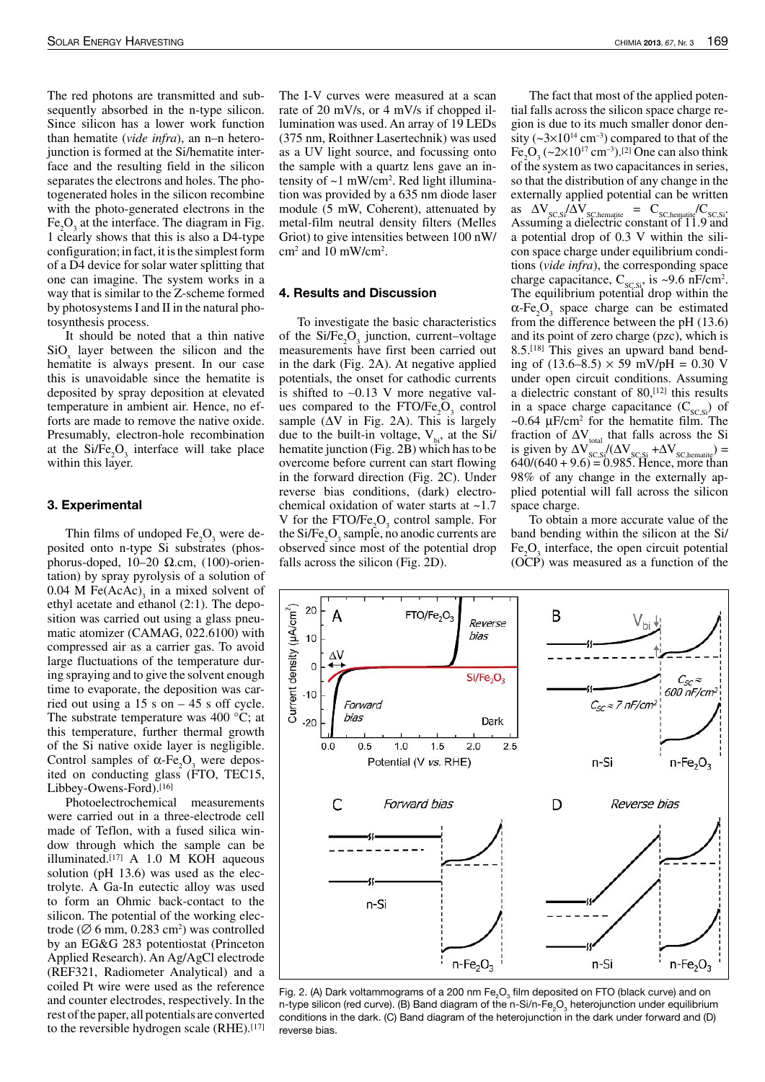The red photons are transmitted and subsequently absorbed in the n-type silicon. Since silicon has a lower work function than hematite (*vide infra*), an n–n heterojunction is formed at the Si/hematite interface and the resulting field in the silicon separates the electrons and holes. The photogenerated holes in the silicon recombine with the photo-generated electrons in the  $Fe<sub>2</sub>O<sub>3</sub>$  at the interface. The diagram in Fig. 1 clearly shows that this is also a D4-type configuration; in fact, it is the simplest form of a D4 device for solar water splitting that one can imagine. The system works in a way that is similar to the Z-scheme formed by photosystemsI and II in the natural photosynthesis process.

It should be noted that a thin native  $\text{SiO}_x$  layer between the silicon and the hematite is always present. In our case this is unavoidable since the hematite is deposited by spray deposition at elevated temperature in ambient air. Hence, no efforts are made to remove the native oxide. Presumably, electron-hole recombination at the  $Si/Fe<sub>2</sub>O<sub>3</sub>$  interface will take place within this layer.

#### 3. Experimental

Thin films of undoped  $Fe<sub>3</sub>O<sub>3</sub>$  were deposited onto n-type Si substrates (phosphorus-doped, 10–20 Ω.cm, (100)-orientation) by spray pyrolysis of a solution of  $0.04$  M Fe(AcAc)<sub>3</sub> in a mixed solvent of ethyl acetate and ethanol (2:1). The deposition was carried out using a glass pneumatic atomizer (CAMAG, 022.6100) with compressed air as a carrier gas. To avoid large fluctuations of the temperature during spraying and to give the solvent enough time to evaporate, the deposition was carried out using a 15 s on – 45 s off cycle. The substrate temperature was 400 °C; at this temperature, further thermal growth of the Si native oxide layer is negligible. Control samples of  $\alpha$ -Fe<sub>2</sub>O<sub>2</sub> were deposited on conducting glass (FTO, TEC15, Libbey-Owens-Ford).<sup>[16]</sup>

Photoelectrochemical measurements were carried out in a three-electrode cell made of Teflon, with a fused silica window through which the sample can be illuminated.[17] A 1.0 M KOH aqueous solution (pH 13.6) was used as the electrolyte. A Ga-In eutectic alloy was used to form an Ohmic back-contact to the silicon. The potential of the working electrode ( $\varnothing$  6 mm, 0.283 cm<sup>2</sup>) was controlled by an EG&G 283 potentiostat (Princeton Applied Research). An Ag/AgCl electrode (REF321, Radiometer Analytical) and a coiled Pt wire were used as the reference and counter electrodes, respectively. In the rest of the paper, all potentials are converted to the reversible hydrogen scale (RHE).<sup>[17]</sup>

The I-V curves were measured at a scan rate of 20 mV/s, or 4 mV/s if chopped illumination was used. An array of 19 LEDs (375 nm, Roithner Lasertechnik) was used as a UV light source, and focussing onto the sample with a quartz lens gave an intensity of ~1 mW/cm<sup>2</sup> . Red light illumination was provided by a 635 nm diode laser module (5 mW, Coherent), attenuated by metal-film neutral density filters (Melles Griot) to give intensities between 100 nW/  $\text{cm}^2$  and 10 mW/cm<sup>2</sup>.

#### 4. Results and Discussion

To investigate the basic characteristics of the  $Si/Fe<sub>2</sub>O<sub>3</sub>$  junction, current–voltage measurements have first been carried out in the dark (Fig. 2A). At negative applied potentials, the onset for cathodic currents is shifted to ∼0.13 V more negative values compared to the  $FTO/Fe<sub>2</sub>O<sub>3</sub>$  control sample ( $\Delta V$  in Fig. 2A). This is largely due to the built-in voltage,  $V_{bi}$ , at the Si/ hematite junction (Fig. 2B) which hasto be overcome before current can start flowing in the forward direction (Fig. 2C). Under reverse bias conditions, (dark) electrochemical oxidation of water starts at ~1.7 V for the FTO/Fe<sub>2</sub>O<sub>3</sub> control sample. For the  $Si/Fe<sub>2</sub>O<sub>3</sub>$  sample, no anodic currents are observed since most of the potential drop falls across the silicon (Fig. 2D).

The fact that most of the applied potential falls across the silicon space charge region is due to its much smaller donor density ( $\sim$ 3×10<sup>14</sup> cm<sup>-3</sup>) compared to that of the  $Fe<sub>2</sub>O<sub>3</sub>$  (~2×10<sup>17</sup> cm<sup>-3</sup>).<sup>[2]</sup> One can also think of the system as two capacitances in series, so that the distribution of any change in the externally applied potential can be written as  $\Delta V_{SC,Si}/\Delta V_{SC,hematite} = C_{SC,hematite}/C_{SC,Si}$ Assuming a dielectric constant of 11.9 and a potential drop of 0.3 V within the silicon space charge under equilibrium conditions (*vide infra*), the corresponding space charge capacitance,  $C_{sc,si}$ , is ~9.6 nF/cm<sup>2</sup>. The equilibrium potential drop within the  $\alpha$ -Fe<sub>2</sub>O<sub>3</sub> space charge can be estimated from the difference between the pH (13.6) and its point of zero charge (pzc), which is 8.5.[18] This gives an upward band bending of  $(13.6–8.5) \times 59$  mV/pH = 0.30 V under open circuit conditions. Assuming a dielectric constant of 80,[12] this results in a space charge capacitance  $(C_{SC,Si})$  of  $\sim 0.64$  µF/cm<sup>2</sup> for the hematite film. The fraction of  $\Delta V_{total}$  that falls across the Si is given by  $\Delta V_{SC, SI} / (\Delta V_{SC, SI} + \Delta V_{SC,hematite})$  =  $640/(640 + 9.6) = 0.985$ . Hence, more than 98% of any change in the externally applied potential will fall across the silicon space charge.

To obtain a more accurate value of the band bending within the silicon at the Si/  $Fe<sub>2</sub>O<sub>3</sub>$  interface, the open circuit potential (OCP) was measured as a function of the



Fig. 2. (A) Dark voltammograms of a 200 nm Fe ${}_2\text{O}_3$  film deposited on FTO (black curve) and on n-type silicon (red curve). (B) Band diagram of the n-Si/n-Fe<sub>2</sub>O<sub>3</sub> heterojunction under equilibrium conditions in the dark. (C) Band diagram of the heterojunction in the dark under forward and (D) reverse bias.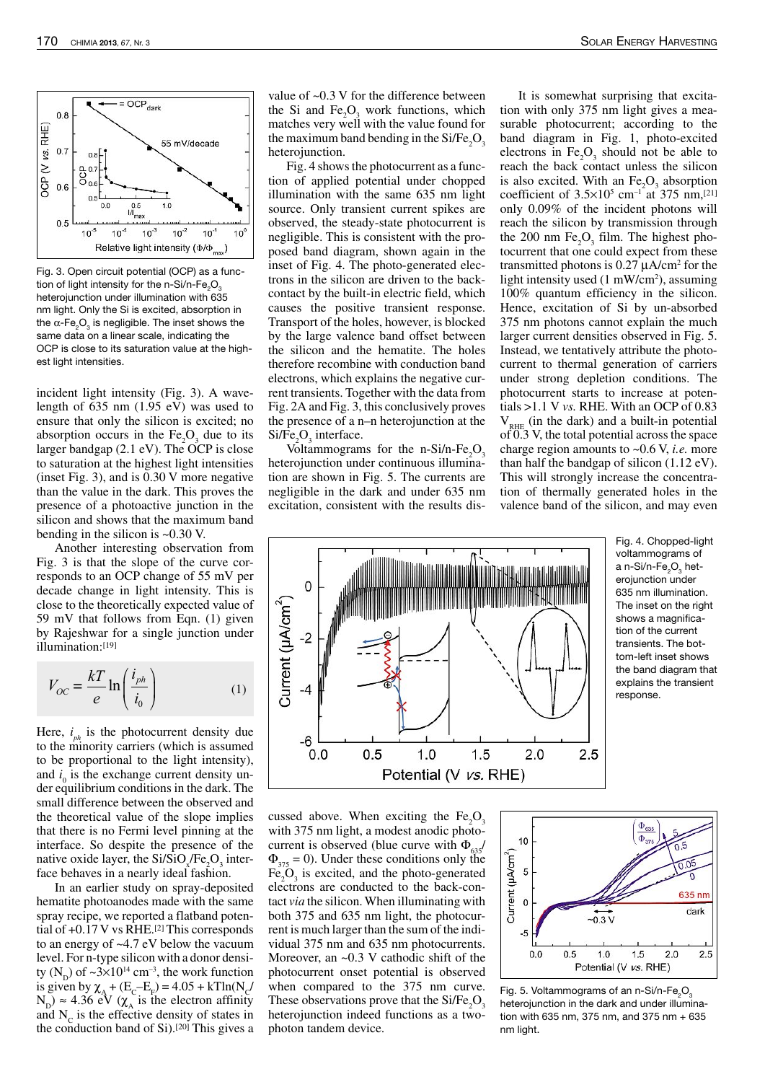

Fig. 3. Open circuit potential (OCP) as a function of light intensity for the n-Si/n-Fe<sub>2</sub>O<sub>3</sub> heterojunction under illumination with 635 nm light. Only the Si is excited, absorption in the α-Fe ${_{2} {\rm O}_{\rm 3}}$  is negligible. The inset shows the same data on a linear scale, indicating the OCP is close to its saturation value at the highest light intensities.

incident light intensity (Fig. 3). A wavelength of 635 nm (1.95 eV) was used to ensure that only the silicon is excited; no absorption occurs in the  $Fe<sub>2</sub>O<sub>3</sub>$  due to its larger bandgap  $(2.1 \text{ eV})$ . The OCP is close to saturation at the highest light intensities (inset Fig. 3), and is 0.30 V more negative than the value in the dark. This proves the presence of a photoactive junction in the silicon and shows that the maximum band bending in the silicon is ~0.30 V.

Another interesting observation from Fig. 3 is that the slope of the curve corresponds to an OCP change of 55 mV per decade change in light intensity. This is close to the theoretically expected value of 59 mV that follows from Eqn. (1) given by Rajeshwar for a single junction under illumination:[19]

$$
V_{OC} = \frac{kT}{e} \ln\left(\frac{i_{ph}}{i_0}\right) \tag{1}
$$

Here,  $i_{ph}$  is the photocurrent density due to the minority carriers (which is assumed to be proportional to the light intensity), and  $i_0$  is the exchange current density under equilibrium conditions in the dark. The small difference between the observed and the theoretical value of the slope implies that there is no Fermi level pinning at the interface. So despite the presence of the native oxide layer, the  $Si/SiO_\chi Fe_2O_3$  interface behaves in a nearly ideal fashion.

In an earlier study on spray-deposited hematite photoanodes made with the same spray recipe, we reported a flatband potential of  $+0.17$  V vs RHE.<sup>[2]</sup> This corresponds to an energy of ~4.7 eV below the vacuum level.For n-type silicon with a donor density  $(N_D)$  of  $\sim 3 \times 10^{14}$  cm<sup>-3</sup>, the work function is given by  $\chi_{A} + (E_{C} - E_{F}) = 4.05 + kT ln(N_{C})$  $N_{\rm p}$ )  $\approx$  4.36 eV ( $\chi_{\rm A}$  is the electron affinity and  $N_c$  is the effective density of states in the conduction band of  $Si$ ).<sup>[20]</sup> This gives a value of ~0.3 V for the difference between the Si and Fe<sub>2</sub>O<sub>3</sub> work functions, which matches very well with the value found for the maximum band bending in the  $Si/Fe<sub>2</sub>O<sub>3</sub>$ heteroiunction.

Fig. 4 shows the photocurrent as a function of applied potential under chopped illumination with the same 635 nm light source. Only transient current spikes are observed, the steady-state photocurrent is negligible. This is consistent with the proposed band diagram, shown again in the inset of Fig. 4. The photo-generated electrons in the silicon are driven to the backcontact by the built-in electric field, which causes the positive transient response. Transport of the holes, however, is blocked by the large valence band offset between the silicon and the hematite. The holes therefore recombine with conduction band electrons, which explains the negative current transients. Together with the data from Fig. 2A and Fig. 3, this conclusively proves the presence of a n–n heterojunction at the  $Si/Fe<sub>2</sub>O<sub>3</sub>$  interface.

Voltammograms for the n-Si $/n$ -Fe<sub>2</sub>O<sub>3</sub> heterojunction under continuous illumination are shown in Fig. 5. The currents are negligible in the dark and under 635 nm excitation, consistent with the results dis-

It is somewhat surprising that excitation with only 375 nm light gives a measurable photocurrent; according to the band diagram in Fig. 1, photo-excited electrons in  $Fe<sub>2</sub>O<sub>3</sub>$  should not be able to reach the back contact unless the silicon is also excited. With an  $Fe<sub>2</sub>O<sub>3</sub>$  absorption coefficient of  $3.5 \times 10^5$  cm<sup>-1</sup> at 375 nm,<sup>[21]</sup> only 0.09% of the incident photons will reach the silicon by transmission through the 200 nm  $Fe<sub>2</sub>O<sub>3</sub>$  film. The highest photocurrent that one could expect from these transmitted photons is 0.27 µA/cm<sup>2</sup> for the light intensity used (1 mW/cm<sup>2</sup>), assuming 100% quantum efficiency in the silicon. Hence, excitation of Si by un-absorbed 375 nm photons cannot explain the much larger current densities observed in Fig. 5. Instead, we tentatively attribute the photocurrent to thermal generation of carriers under strong depletion conditions. The photocurrent starts to increase at potentials >1.1 V *vs.* RHE. With an OCP of 0.83  $V_{RHE}$  (in the dark) and a built-in potential  $\overline{0.3}$  V, the total potential across the space charge region amounts to ~0.6 V, *i.e.* more than half the bandgap of silicon (1.12 eV). This will strongly increase the concentration of thermally generated holes in the valence band of the silicon, and may even

Fig. 4. Chopped-light voltammograms of a n-Si/n-Fe $_{2}$ O $_{3}$  heterojunction under 635 nm illumination. The inset on the right shows a magnification of the current transients. The bottom-left inset shows the band diagram that explains the transient response.

 $\mathbf 0$ Current (uA/cm<sup>2</sup>)  $-2$  $-4$ -6  $0.0$  $0.5$  $1.0$  $1.5$  $2.0$ 2.5 Potential (V vs. RHE)

cussed above. When exciting the  $Fe<sub>3</sub>O<sub>3</sub>$ with 375 nm light, a modest anodic photocurrent is observed (blue curve with  $\Phi_{635}/\Phi$  $\Phi_{375} = 0$ ). Under these conditions only the  $Fe<sub>2</sub>O<sub>3</sub>$  is excited, and the photo-generated electrons are conducted to the back-contact *via* the silicon.When illuminating with both 375 and 635 nm light, the photocurrentis much larger than the sum of the individual 375 nm and 635 nm photocurrents. Moreover, an  $\sim 0.3$  V cathodic shift of the photocurrent onset potential is observed when compared to the 375 nm curve. These observations prove that the  $Si/Fe<sub>3</sub>O<sub>3</sub>$ heterojunction indeed functions as a twophoton tandem device.



Fig. 5. Voltammograms of an n-Si/n-Fe<sub>2</sub>O<sub>3</sub> heterojunction in the dark and under illumination with 635 nm, 375 nm, and 375 nm + 635 nm light.